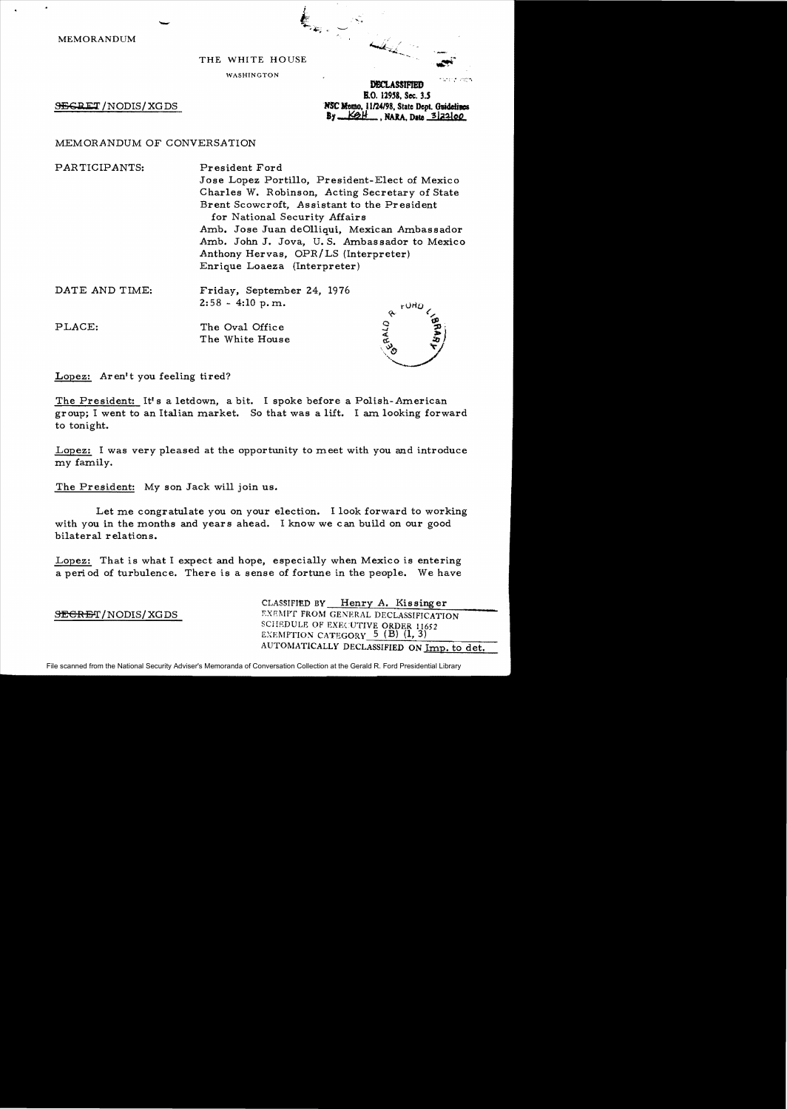MEMORANDUM

# $\epsilon$

WASHINGT ON

ومعوض فالبنين **DECLASSIFIED** 

SEGRET / NODIS / XG DS

MSC Memo, 11/24/98, State Dept. Guidelines **By** <u>KOH</u> , NARA, Date <sup>3</sup> 22 00 E.O. 12958. Sec. 3.5

# MEMORANDUM OF CONVERSATION

-

PARTICIPANTS: President Ford

Jose Lopez Portillo, President-Elect of Mexico Charles W. Robinson, Acting Secretary of State Brent Scowcroft, Assistant to the President for National Security Affairs Amb. Jose Juan deOlliqui. Mexican Ambassador Amb. John J. Jova, U. S. Ambassador to Mexico Anthony Hervas, OPR/LS (Interpreter) Enrique Loaeza (Interpreter)

| DATE AND TIME: | Friday, September 24, 1976<br>$2:58 - 4:10$ p.m. | <b>LOUD</b> |
|----------------|--------------------------------------------------|-------------|
| PLACE:         | The Oval Office<br>The White House               | $\sim$      |

Lopez: Aren't you feeling tired?

The President: It's a letdown, a bit. I spoke before a Polish-American gr oup; I went to an Italian market. So that was a lift. I am looking forward to tonight.

Lopez: I was very pleased at the opportunity to meet with you and introduce my family.

The President: My son Jack will join us.

Let me congratulate you on your election. I look forward to working with you in the months and years ahead. I know we can build on our good bilateral relations.

Lopez: That is what I expect and hope, especially when Mexico is entering a period of turbulence. There is a sense of fortune in the people. We have

CLASSIFIED BY Henry A. Kissinger SEGRET/NODIS/XGDS EXEMPT FROM GENERAL DECLASSIFICATION SCHEDULE OF EXECUTIVE ORDER 11652<br>EXEMPTION CATEGORY 5 (B) (1, 3) AUTOMATICALLY DECLASSIFIED ON Imp. to det.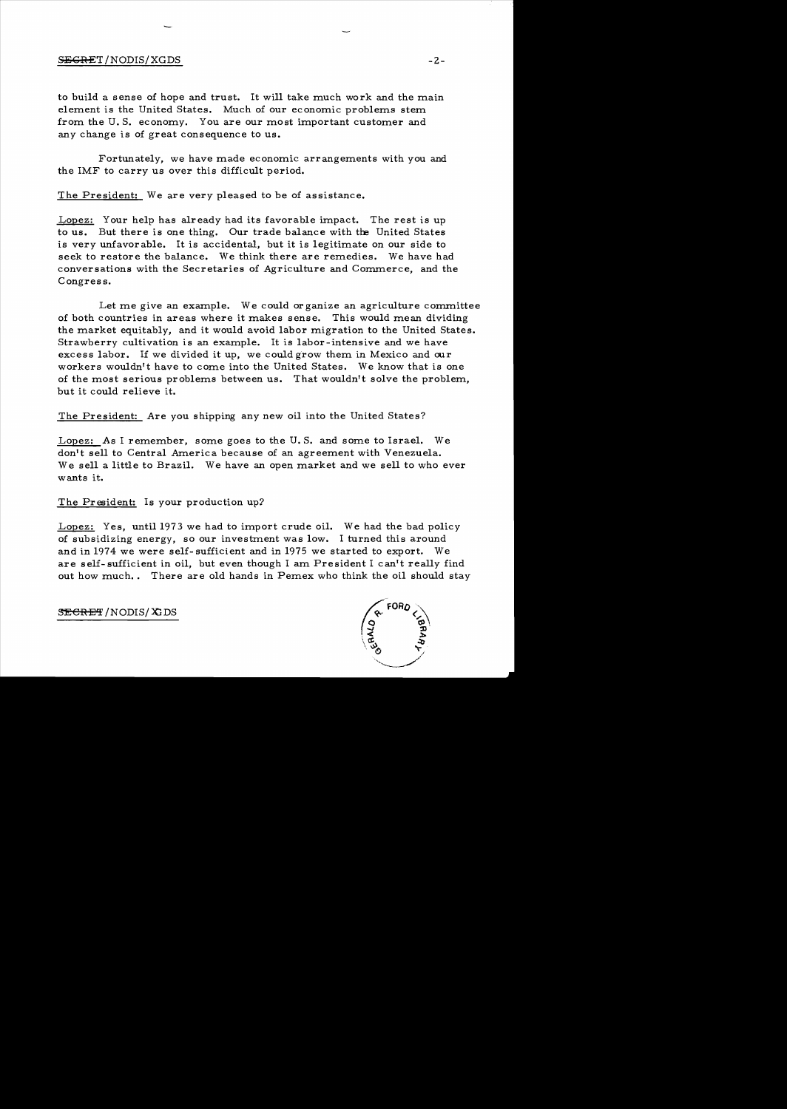## S<del>ECRE</del>T/NODIS/XGDS -2-

to build a sense of hope and trust. It will take much work and the main element is the United States. Much of our economic problems stem from the U. S. economy. You are our most important customer and any change is of great consequence to us.

Fortunately, we have made economic arrangements with you and the IMF to carry us over this difficult period.

The President: We are very pleased to be of assistance.

Lopez: Your help has already had its favorable impact. The rest is up to us. But there is one thing. Our trade balance with the United States is very unfavorable. It is accidental, but it is legitimate on our side to seek to restore the balance. We think there are remedies. We have had conversations with the Secretaries of Agriculture and Commerce, and the Congress.

Let me give an example. We could or ganize an agriculture committee of both countries in areas where it makes sense. This would mean dividing the market equitably, and it would avoid labor migration to the United States. Strawberry cultivation is an example. It is labor-intensive and we have excess labor. If we divided it up, we could grow them in Mexico and our workers wouldn't have to come into the United States. We know that is one of the most serious problems between us. That wouldn't solve the problem, but it could relieve it.

The President: Are you shipping any new oil into the United States?

Lopez: *As* I remember, some goes to the U. S. and some to Israel. We don't sell to Central America because of an agreement with Venezuela. We sell a little to Brazil. We have an open market and we sell to who ever wants it.

The President: Is your production up?

Lopez: Yes, until 1973 we had to import crude oil. We had the bad policy of subsidizing energy, so our investment was low. I turned this around and in 1974 we were self- sufficient and in 1975 we started to export. We are self- sufficient in oil, but even though I am President I can't really find out how much.. There are old hands in Pemex who think the oil should stay

 $S\rightarrow$ EGRET / NODIS/XIDS

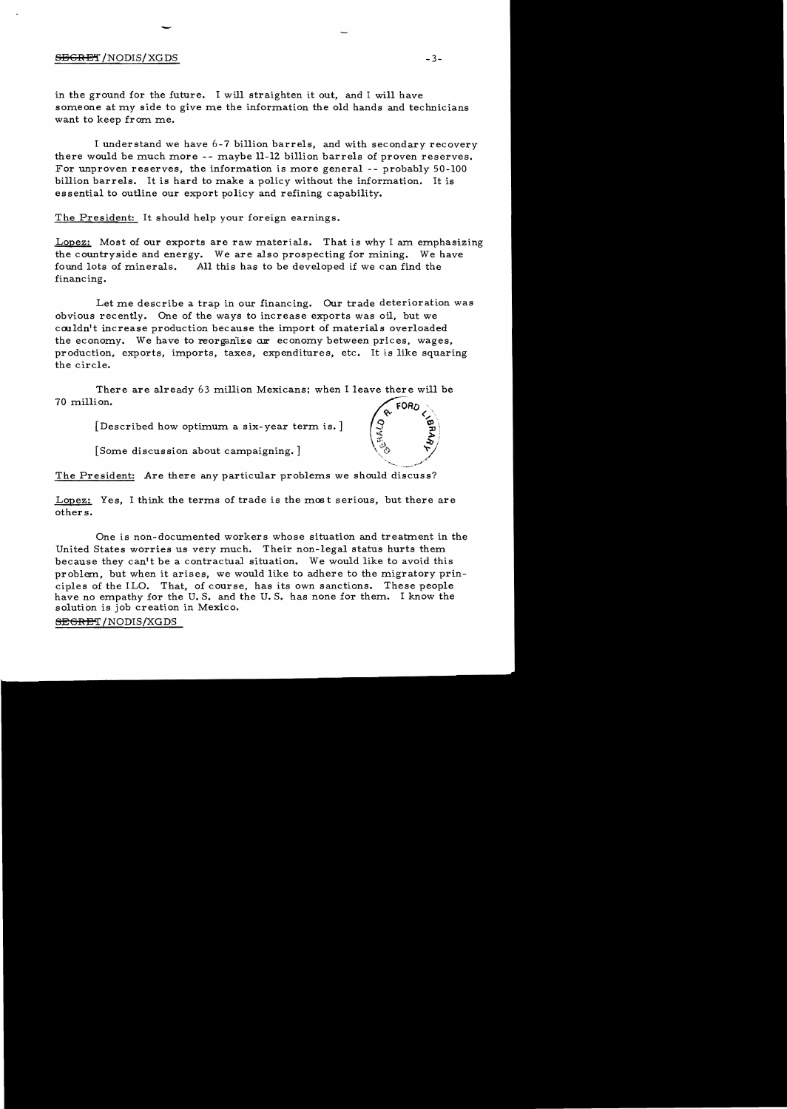### $\overline{\text{SBGRET}}$  /NODIS/XGDS  $^{-3-}$

-

in the ground for the future. I will straighten it out, and I will have someone at my side to give me the information the old hands and technicians want to keep from me.

I understand we have 6-7 billion barrels, and with secondary recovery there would be much more -- maybe 11-12 billion barrels of proven reserves. For unproven reserves, the information is more general -- probably 50-100 billion barrels. It is hard to make a policy without the information. It is es sential to outline our export policy and refining capability.

The President: It should help your foreign earnings.

Lopez: Most of our exports are raw materials. That is why I am emphasizing the countryside and energy. We are also prospecting for mining. We have found lots of minerals. All this has to be developed if we can find the financing.

Let me describe a trap in our financing. Our trade deterioration was obvious recently. One of the ways to increase exports was oil, but we couldn't increase production because the import of materials overloaded the economy. We have to reorganize are economy between prices, wages, production, exports, imports, taxes, expenditures, etc. It is like squaring the circle.

There are already 63 million Mexicans; when I leave there will be 70 million.

[Described how optimum a six-year term is.]

[Some discussion about campaigning.]

The President: Are there any particular problems we should discuss?

Lopez: Yes, I think the terms of trade is the most serious, but there are others.

One is non-documented workers whose situation and treatment in the United States worries us very much. Their non-legal status hurts them because they can't be a contractual situation. We would like to avoid this problem., but when it arises, we would like to adhere to the migratory principles of the ILO. That, of course, has its own sanctions. These people have no empathy for the U.S. and the U.S. has none for them. I know the solution is job creation in Mexico.

<del>SEGRE</del>T/NODIS/XGDS

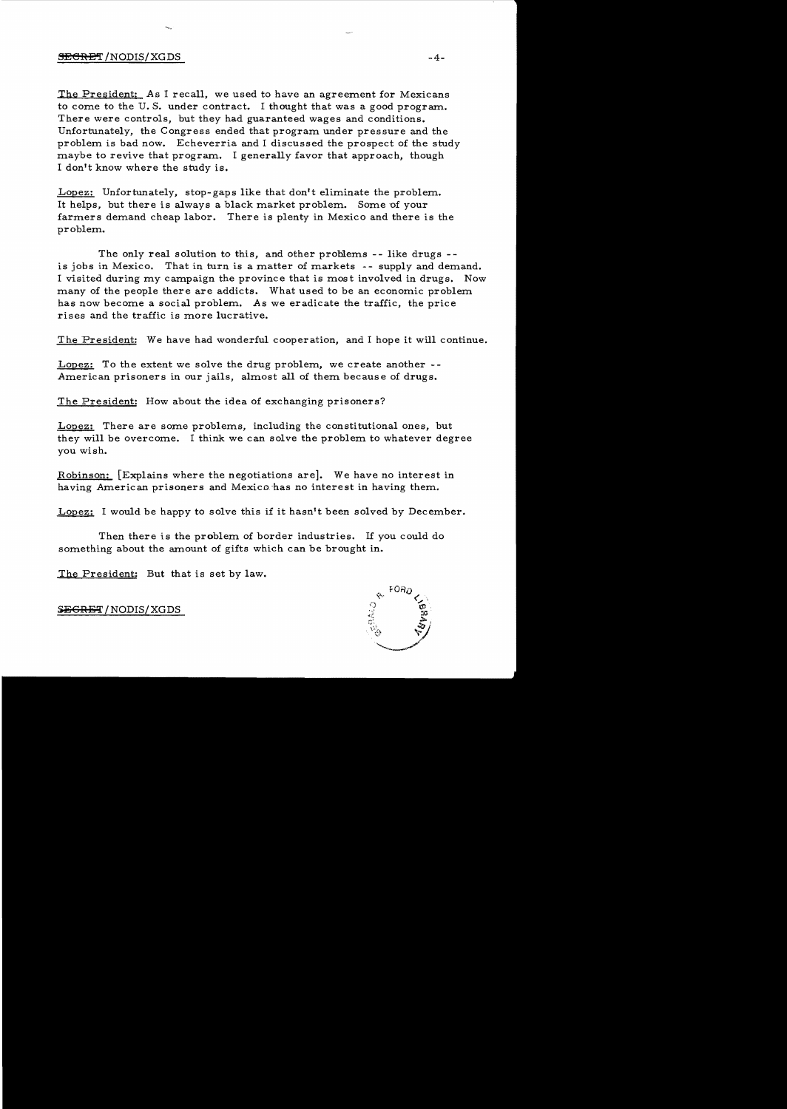# $\overline{\text{SEERET}}$  /NODIS/XGDS  $^{-4-}$

The President: As I recall, we used to have an agreement for Mexicans to come to the U. S. under contract. I thought that was a good program. There were controls, but they had guaranteed wages and conditions. Unfortunately, the Congress ended that program under pressure and the problem is bad now. Echeverria and I discussed the prospect of the study maybe to revive that program. I generally favor that approach, though I don't know where the study is.

Lopez: Unfortunately, stop-gaps like that don't eliminate the problem. It helps, but there is always a black market problem. Some of your farmers demand cheap labor. There is plenty in Mexico and there is the problem.

The only real solution to this, and other problems -- like drugs -is jobs in Mexico. That in turn is a matter of markets -- supply and demand. I visited during my campaign the province that is mos t involved in drugs. Now many of the people there are addicts. What used to be an economic problem has now become a social problem. As we eradicate the traffic, the price rises and the traffic is more lucrative.

The President: We have had wonderful cooperation, and I hope it will continue.

Lopez: To the extent we solve the drug problem, we create another --American prisoners in our jails, almost all of them because of drugs.

The President: How about the idea of exchanging prisoners?

Lopez: There are some problems, including the constitutional ones, but they will be overcome. I think we can solve the problem to whatever degree you wish.

Robinson: [Explains where the negotiations are]. We have no interest in having American prisoners and Mexico has no interest in having them.

Lopez: I would be happy to solve this if it hasn't been solved by December.

Then there is the problem of border industries. If you could do something about the amount of gifts which can be brought in.

The President: But that is set by law.



S<del>ECRET</del> / NODIS/XGDS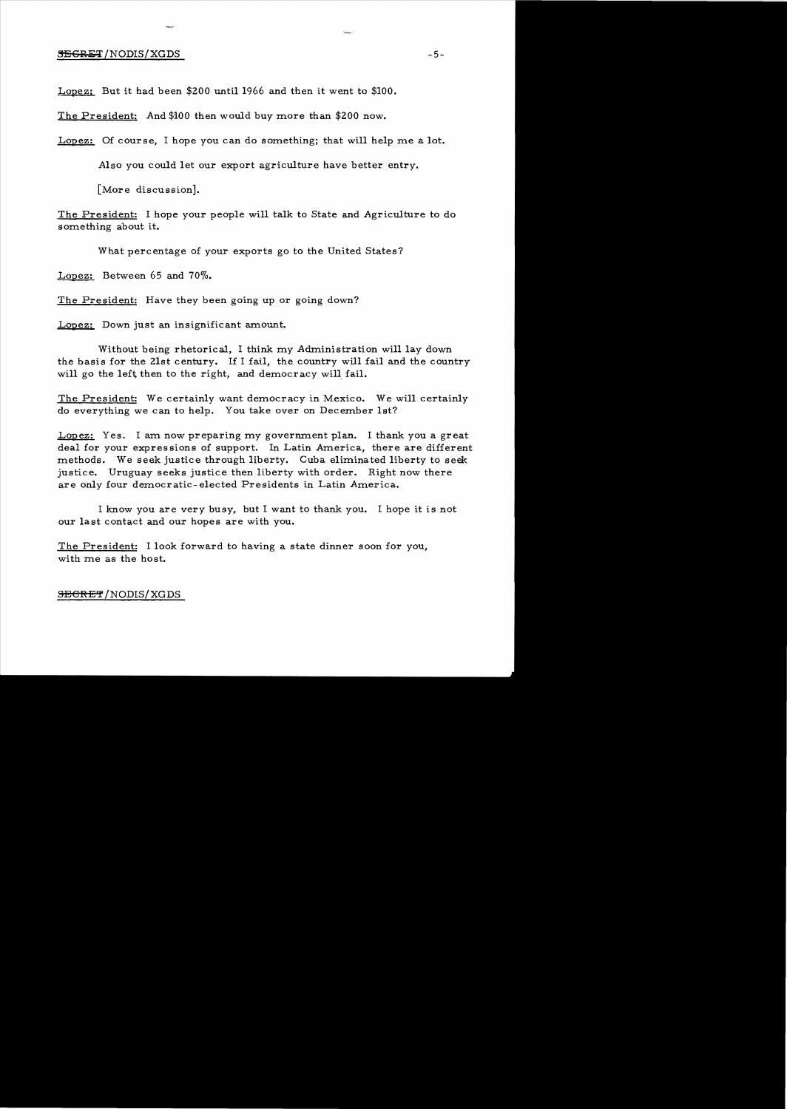### **SEGRET** /NODIS/XGDS -5-

Lopez: But it had been \$200 until 1966 and then it went to \$100.

The President: And \$100 then would buy more than \$200 now.

Lopez: Of course, I hope you can do something; that will help me a lot.

Also you could let our export agriculture have better entry.

[More discussion].

The President: I hope your people will talk to State and Agriculture to do something about it.

What percentage of your exports go to the United States?

Lopez: Between 65 and 70%.

The President: Have they been going up or going down?

Lopez: Down just an insignificant amount.

Without being rhetorical, I think my Administration will lay down the basis for the 21st century. If I fail, the country will fail and the country will go the left then to the right, and democracy will fail.

The President: We certainly want democracy in Mexico. We will certainly do everything we can to help. You take over on December 1st?

Lopez: Yes. I am now preparing my government plan. I thank you a great deal for your expressions of support. In Latin America, there are different methods. We seek justice through liberty. Cuba eliminated liberty to seek justice. Uruguay seeks justice then liberty with order. Right now there are only four democratic-elected Presidents in Latin America.

I know you are very busy, but I want to thank you. I hope it is not our last contact and our hopes are with you.

The President: I look forward to having a state dinner soon for you, with me as the host.

### S<del>ECRET</del>/NODIS/XGDS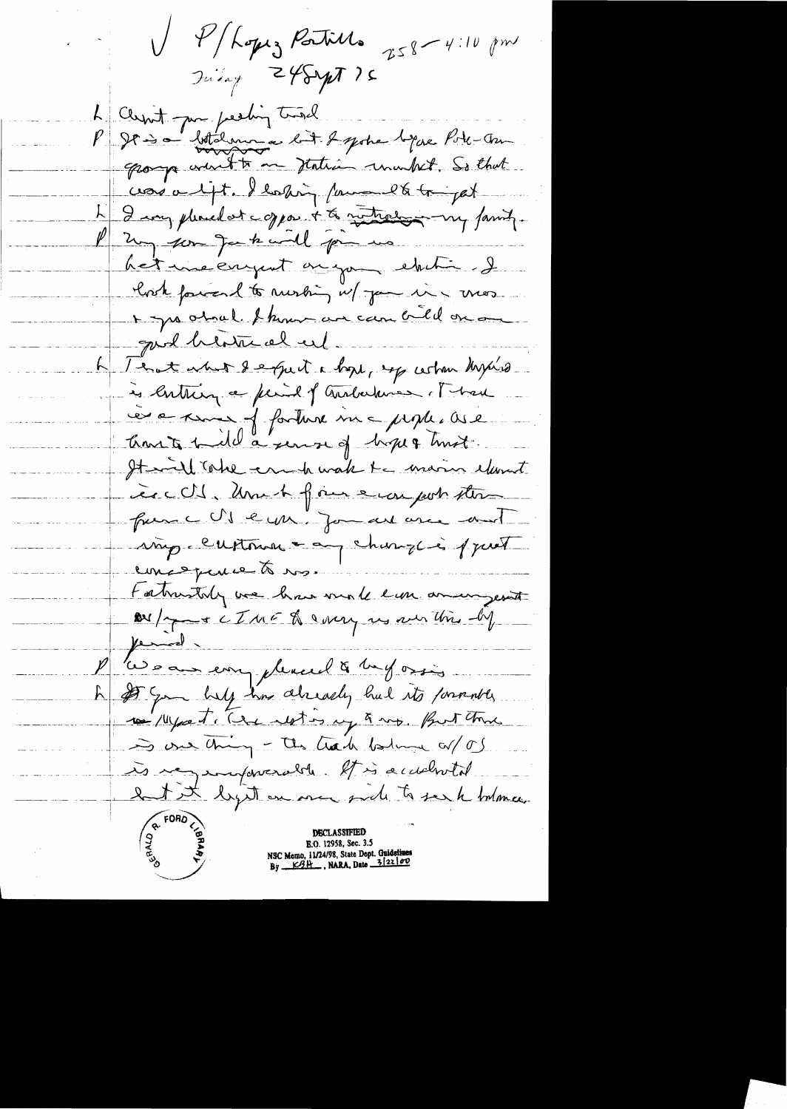V P/Lopez Patiels 258-4:10 pm L'Ousn't par predin tousel<br>P 2000 botalement de la septe bijour Pote-Au corso lift. Ilaking formand to be pat 4 I may pleased at copport to mathews my family. 1 2m par factural primer het me engent on you shit & look forces to mesting w/ you in mos I you ahad I know an can call on good heath al eil A Tent what defect a loss, up when kysind is lutting a find of autochnes of had es a moi forture me prople. Ose Crown to 1 de a servir of hope & hust. It will take er h wak te marin elevent include une de fine europart stern from CUI eya. Jonan are and imp. Custome = any change is part emptperse à ros. tabristoly we have male em animyessat De / y + CIME De very res sur Unis - by  $\mu$ Les aux emplement à mes orsi h of you help in already had its formatly 10 / 14 por T, Circ restos up & mp. Pour toms is one thing - the track believe a/ 05 is regumpererable. It is accelerated. let it light an one and to see h bolomer **DECLASSIFIED E.O. 12958, Sec. 3.5**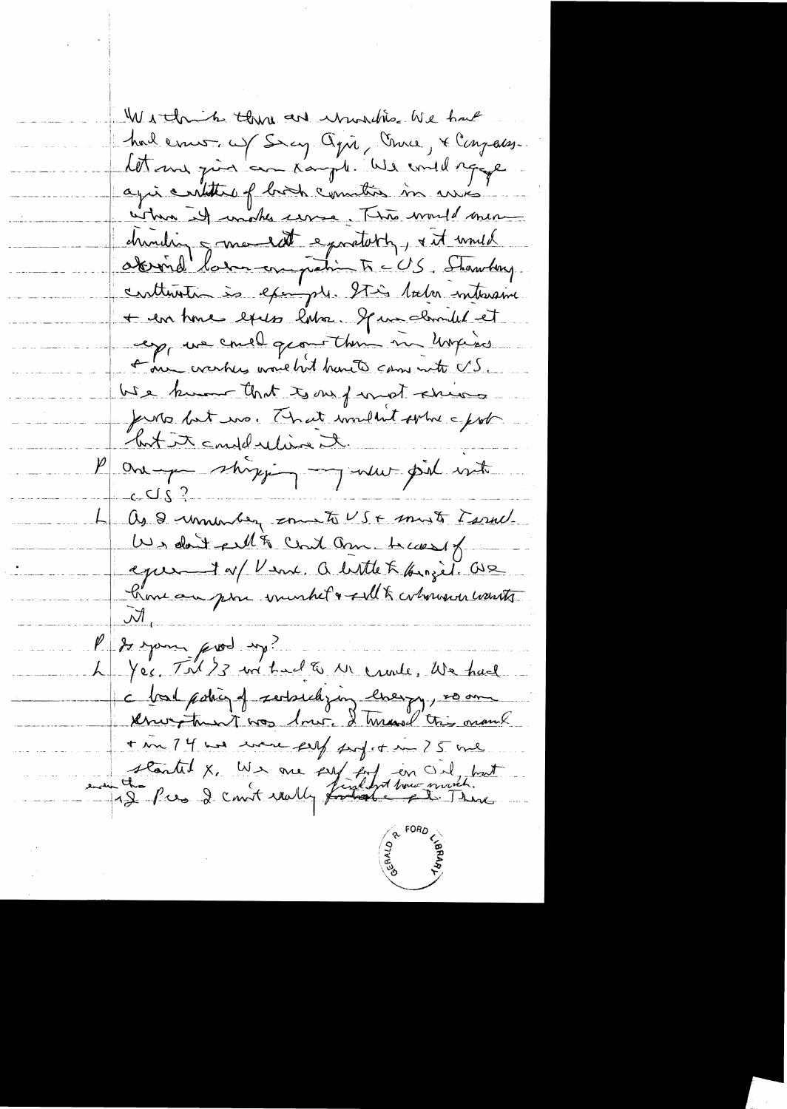Within the we winder We have had ernes of Sey Opin, Unice, & Congress. Let me joint au Kaupt. We could sque agis cartiture of birth country in arrive. when it wishes use The would mea dunding 5 me let e pretory, & it unid obrird'hommon patin F = US, Shawbay. contention às example Stis later interame + en tome excess lator. If we clouded et exp, we could geomething my unpieces one eventus work hit hants can note US. We know that is not ence funts but ins. That wouldn't sphe a foot but it could relieve it. One particular state  $CQ2$ As I unneau country to US + must Farme We don't fell & Could am because of eper 1 of Vene, a little Kkinzet. Ose Kime au pour inurbet & sall transversion wants Pf de mon prod up! L Yes. Til 73 m't a l & 11 crede, We had I bad pohig of sertsuckying livery , so on know then y was low. I have this manik + m 74 was evere fell perfect in 25 ml started X, We me ser fort en Orl but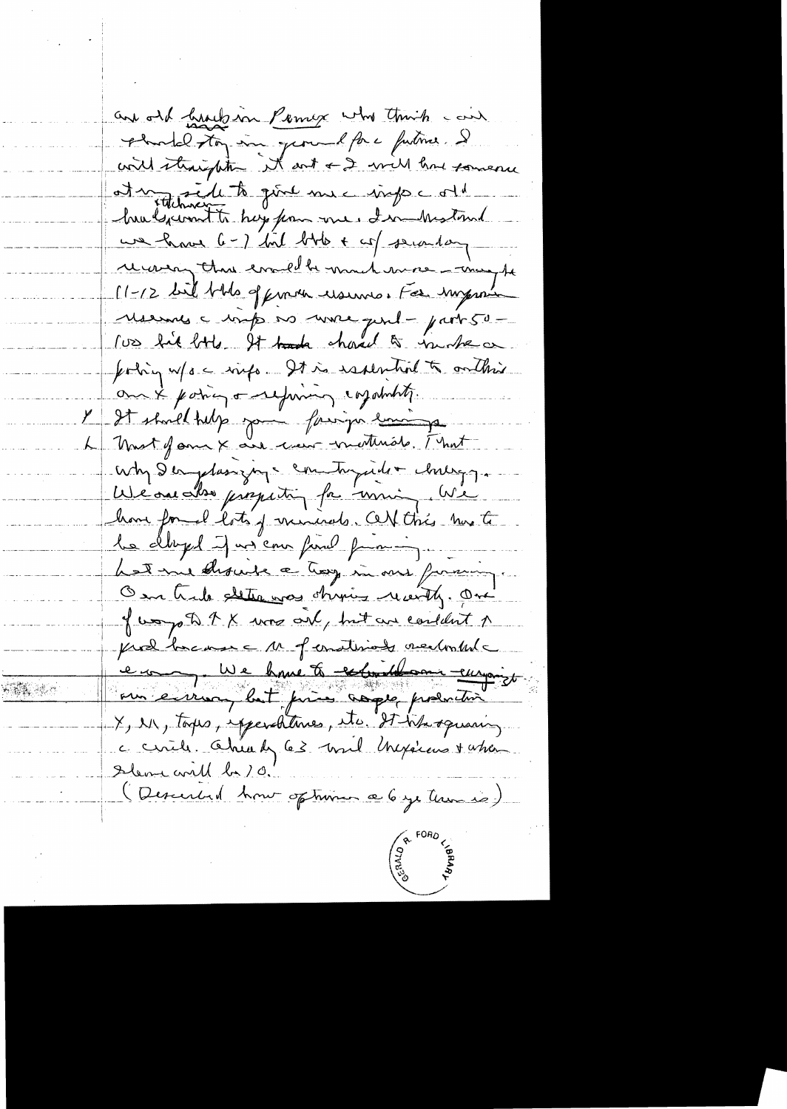and old hundred Permex who think can Abordel ston un ground force futime. Il at mondele to qu'il me important hulgement to hay from me, I mitund une have G-) bil bbb + co/secondary recovery that evald to much more - may be 11-12 bill blds of finden usuno. For improve Mermes = mp no more pul-part 50 rues hit birds It track charact to include or forting w/s - evido. It is estential to contrare om & poing one financy corpolation. l'It should help your fairger somme L Most Jam X au creu metterale. [ not Why Demplassyrgs comtagaide chilings. We one also properting for moning. We home formal lots of miniscals. Certifics has to le clayed justem fine pourin hat me should a troy in our forming. On trib dettances chipis recently. One of way of A X was only but an content of from home as a ferration recloched en une huit réserve eur our envisa, but price aspec production X, M, tops, spendtence, its. It is squaring à circle Ahiah 63 avril Mexicans + when Sleve will be 10. (Descended hour optionne ce 6 je termes)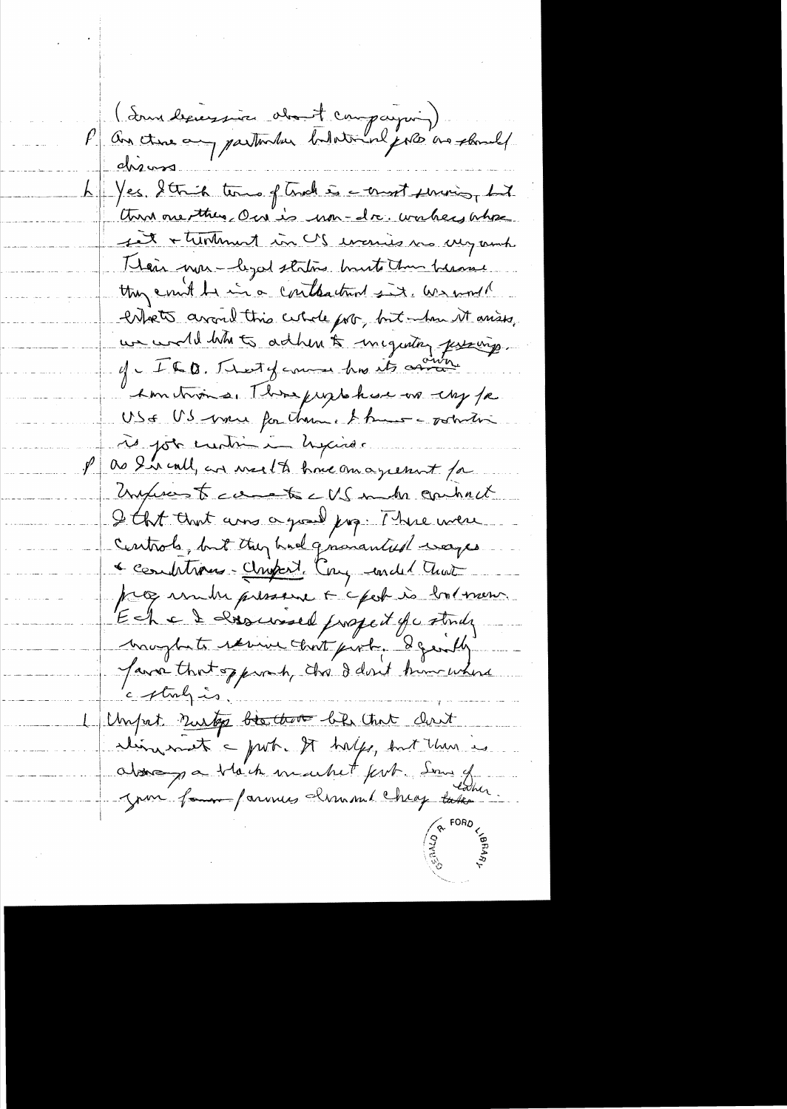(Source de la famille de la compagnie)<br>An Ame au partement tuter en pour une chanche chians. La Yes Strich time of trade is a consort serving, but then one they on is non-dr. wakes where fet + turkment in US evenies we are much Heir was - legal statis bruste the because they could be in a contraction six, we would entrets avant this certale port, but when it arises, we would like to adher to inequiting justing. of ILQ. That you have to any I'm troins, Three prophesis on the fa USE US vous for chance & huis - voture rès job entiments hypines. as I'm call, an week to have an agreement for Unjureste comete c US make contract I that that arms a good jug. There were Centrols, but they had gnowanted ways Comptions-Chapert Cay ended That programme pressent & chok is bolmen. Eche le Roue de propert qui stonds haughets remine that pixty degently Java that opport, the dent kim where c straly is Unput nuto bis that by that don't aliment a port. It happy, but then is abone y a black machet fert Som of Juin four farmers Krunnel Cheg take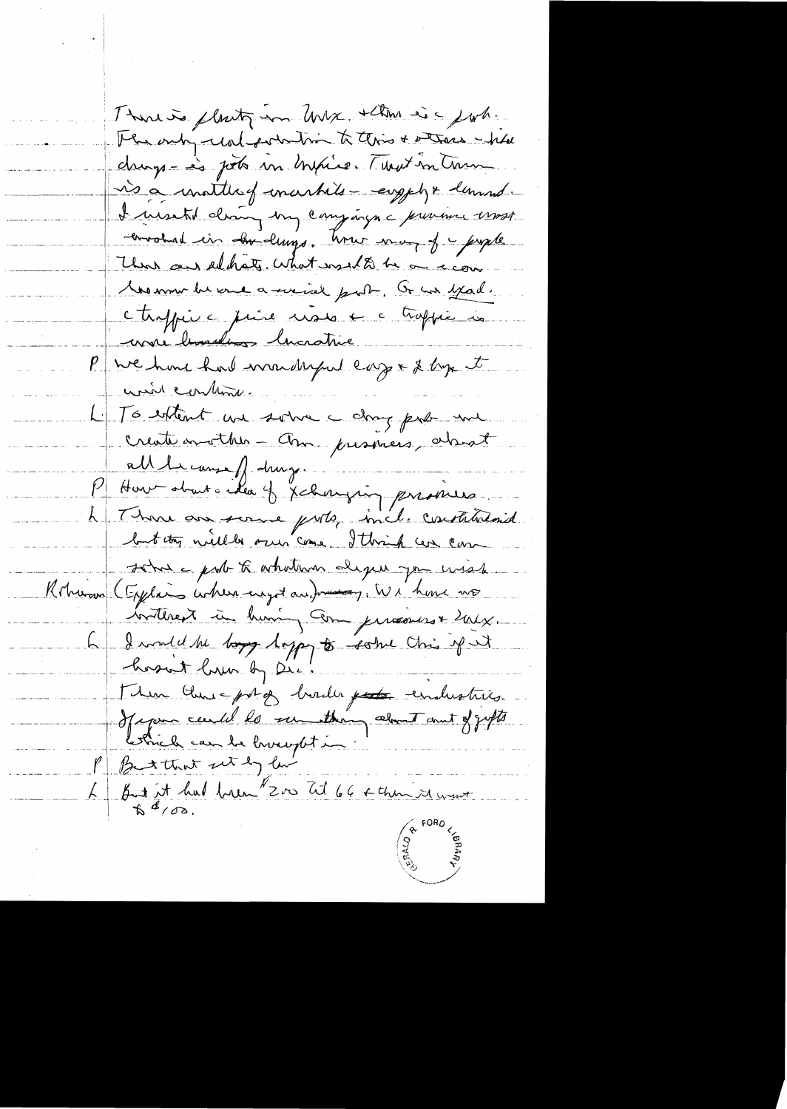Thanks flott in When is John The only wal pointing to this + stress - hhe change às pour un brisse. Mont un train is a matter of markets - engely + lemmes. I menti dran my compagn a previou most corrohad in correllings. We may of people That and eddats. What would be a com Momme be ence a mind port, G an year. ctrippire prise mass + a trappé is more hundres hicrotive P ve hou had mandaged cap & log et unir contant. L'IGnortent un solve compte me create avoither - Am presinces, absort all le canse // drug. P How about a élec y Jehanging provises L Thomas son some ports, incl. constatutant sohn a port to whathour depen you use Roharan (Explain where cryst and messay, We have mo insterent in huming com percourse eaux. 6 - I would be boys loppy to some this of it hosat hrun by Die! Then Check potos birdes poste endustries.<br>Of your cend to remaking cloud and offerts But it had been 200 tit 66 ce things were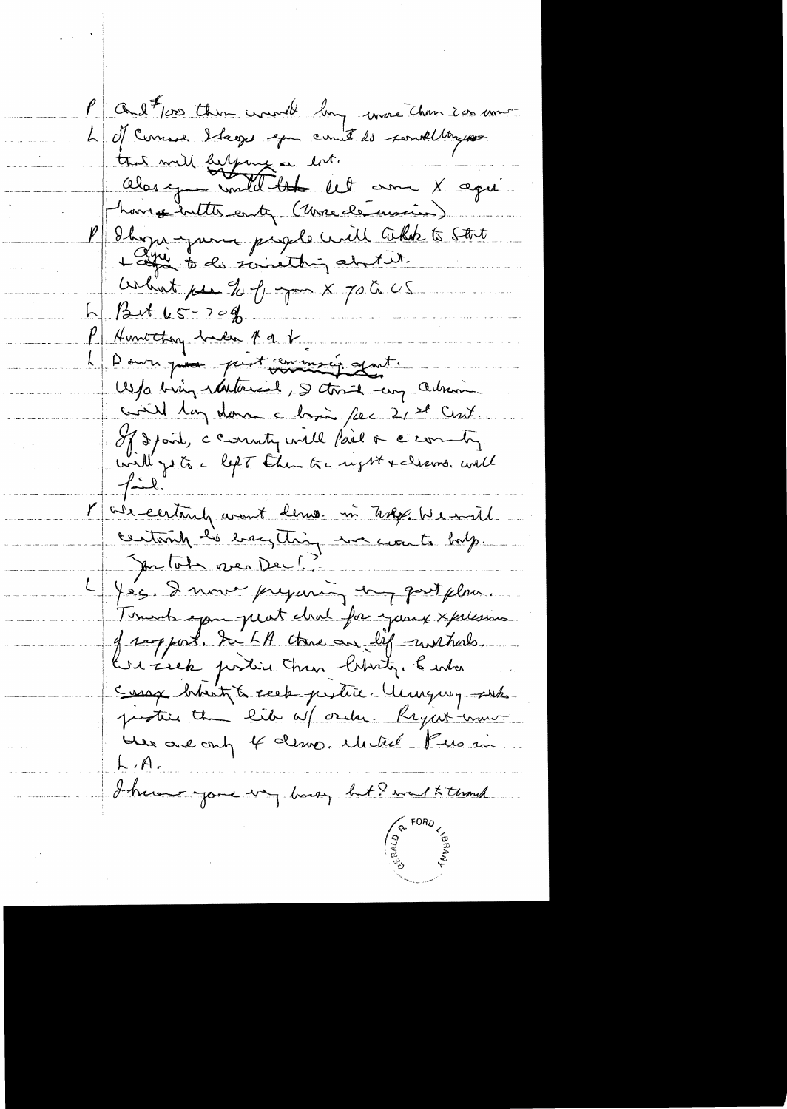P and for them want by more chan in more 4 d'Ouvrier blages que comit de sont toujours that will belging a lot. Oberge until the let ome X age home butter enter (Une de mois) P Shopa-para pagel will takk to stat Which pea 20 of your X 70 to US  $h\beta dt$   $u5 - 709$ P Huntchon back par 1 Pour pour print avance quit. W/o bing ratherial, I thank my admin civil lan donc a bisi fac 2/28 Cm7. If I point, ce connutin will fail or ce comments Marcentantz avant lemos in Trep Wescard centurily his easything we count body. Jon Tota ren Dec! 4 Jeg. I nous prejaning dang quit plus. Tomats span plat chal for young xplesives of samport. Sur LA chance are life mustares. Ker Zick postin Ann Christy. Center Sessay broit to seek pertire. Unguy subs protein the like of order. Regat comment Her are only 4 demo Mitrel Pus in  $L/A$ I have your way busy but I want to think